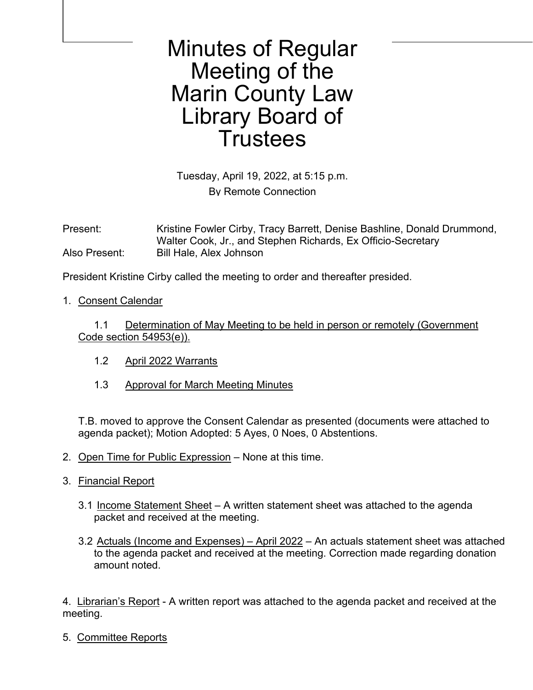Minutes of Regular Meeting of the Marin County Law Library Board of **Trustees** 

Tuesday, April 19, 2022, at 5:15 p.m. By Remote Connection

Present: Kristine Fowler Cirby, Tracy Barrett, Denise Bashline, Donald Drummond, Walter Cook, Jr., and Stephen Richards, Ex Officio-Secretary Also Present: Bill Hale, Alex Johnson

President Kristine Cirby called the meeting to order and thereafter presided.

1. Consent Calendar

 1.1 Determination of May Meeting to be held in person or remotely (Government Code section 54953(e)).

- 1.2 April 2022 Warrants
- 1.3 Approval for March Meeting Minutes

T.B. moved to approve the Consent Calendar as presented (documents were attached to agenda packet); Motion Adopted: 5 Ayes, 0 Noes, 0 Abstentions.

- 2. Open Time for Public Expression None at this time.
- 3. Financial Report
	- 3.1 Income Statement Sheet A written statement sheet was attached to the agenda packet and received at the meeting.
	- 3.2 Actuals (Income and Expenses) April 2022 An actuals statement sheet was attached to the agenda packet and received at the meeting. Correction made regarding donation amount noted.

4. Librarian's Report - A written report was attached to the agenda packet and received at the meeting.

5. Committee Reports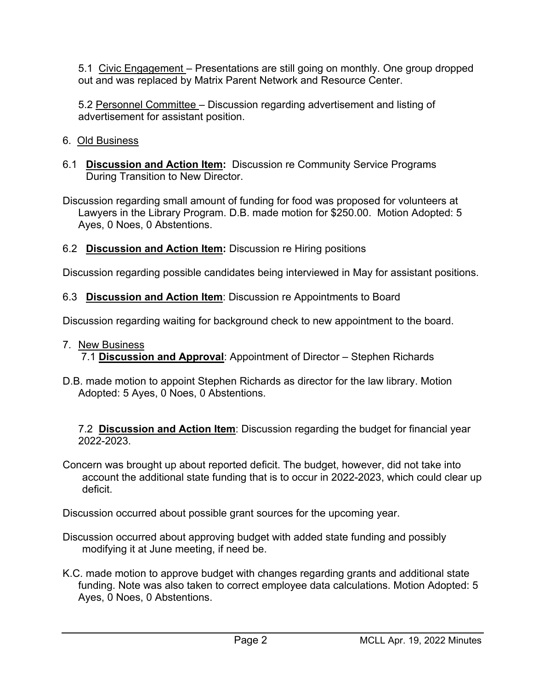5.1 Civic Engagement – Presentations are still going on monthly. One group dropped out and was replaced by Matrix Parent Network and Resource Center.

5.2 Personnel Committee – Discussion regarding advertisement and listing of advertisement for assistant position.

## 6. Old Business

6.1 **Discussion and Action Item:** Discussion re Community Service Programs During Transition to New Director.

Discussion regarding small amount of funding for food was proposed for volunteers at Lawyers in the Library Program. D.B. made motion for \$250.00. Motion Adopted: 5 Ayes, 0 Noes, 0 Abstentions.

6.2 **Discussion and Action Item:** Discussion re Hiring positions

Discussion regarding possible candidates being interviewed in May for assistant positions.

6.3 **Discussion and Action Item**: Discussion re Appointments to Board

Discussion regarding waiting for background check to new appointment to the board.

- 7. New Business
	- 7.1 **Discussion and Approval**: Appointment of Director Stephen Richards
- D.B. made motion to appoint Stephen Richards as director for the law library. Motion Adopted: 5 Ayes, 0 Noes, 0 Abstentions.

 7.2 **Discussion and Action Item**: Discussion regarding the budget for financial year 2022-2023.

Concern was brought up about reported deficit. The budget, however, did not take into account the additional state funding that is to occur in 2022-2023, which could clear up deficit.

Discussion occurred about possible grant sources for the upcoming year.

- Discussion occurred about approving budget with added state funding and possibly modifying it at June meeting, if need be.
- K.C. made motion to approve budget with changes regarding grants and additional state funding. Note was also taken to correct employee data calculations. Motion Adopted: 5 Ayes, 0 Noes, 0 Abstentions.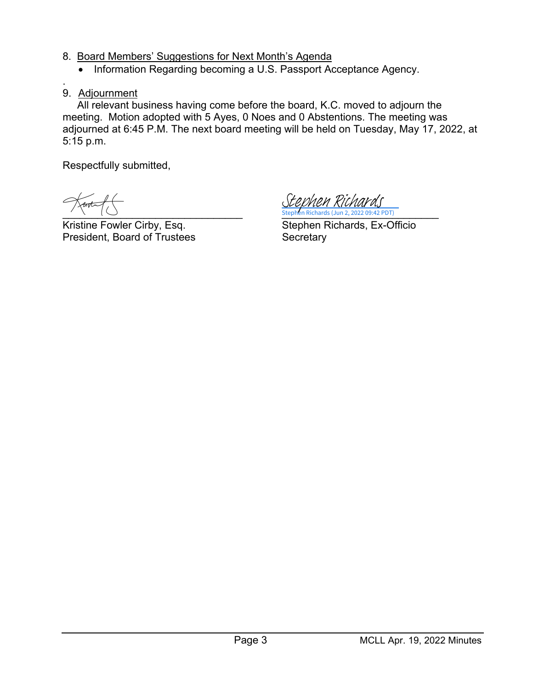- 8. Board Members' Suggestions for Next Month's Agenda
	- Information Regarding becoming a U.S. Passport Acceptance Agency.
- . 9. Adjournment

 All relevant business having come before the board, K.C. moved to adjourn the meeting. Motion adopted with 5 Ayes, 0 Noes and 0 Abstentions. The meeting was adjourned at 6:45 P.M. The next board meeting will be held on Tuesday, May 17, 2022, at 5:15 p.m.

Respectfully submitted,

Kristine Fowler Cirby, Esq. Stephen Richards, Ex-Officio President, Board of Trustees Secretary

 $\longrightarrow$   $\setminus$   $\setminus$   $\setminus$   $\setminus$   $\setminus$   $\setminus$   $\setminus$   $\setminus$   $\setminus$   $\setminus$   $\setminus$   $\setminus$   $\setminus$   $\setminus$   $\setminus$   $\setminus$   $\setminus$   $\setminus$   $\setminus$   $\setminus$   $\setminus$   $\setminus$   $\setminus$   $\setminus$   $\setminus$   $\setminus$   $\setminus$   $\setminus$   $\setminus$   $\setminus$   $\setminus$   $\setminus$   $\setminus$   $\setminus$   $\setminus$   $\setminus$  Stephen Richards (Jun 2, 2022 09:42 PDT) [Stephen Richards](https://na2.documents.adobe.com/verifier?tx=CBJCHBCAABAAKwmOv7hKmqFeLab6Ll-fWMMdOfkcZnU0)